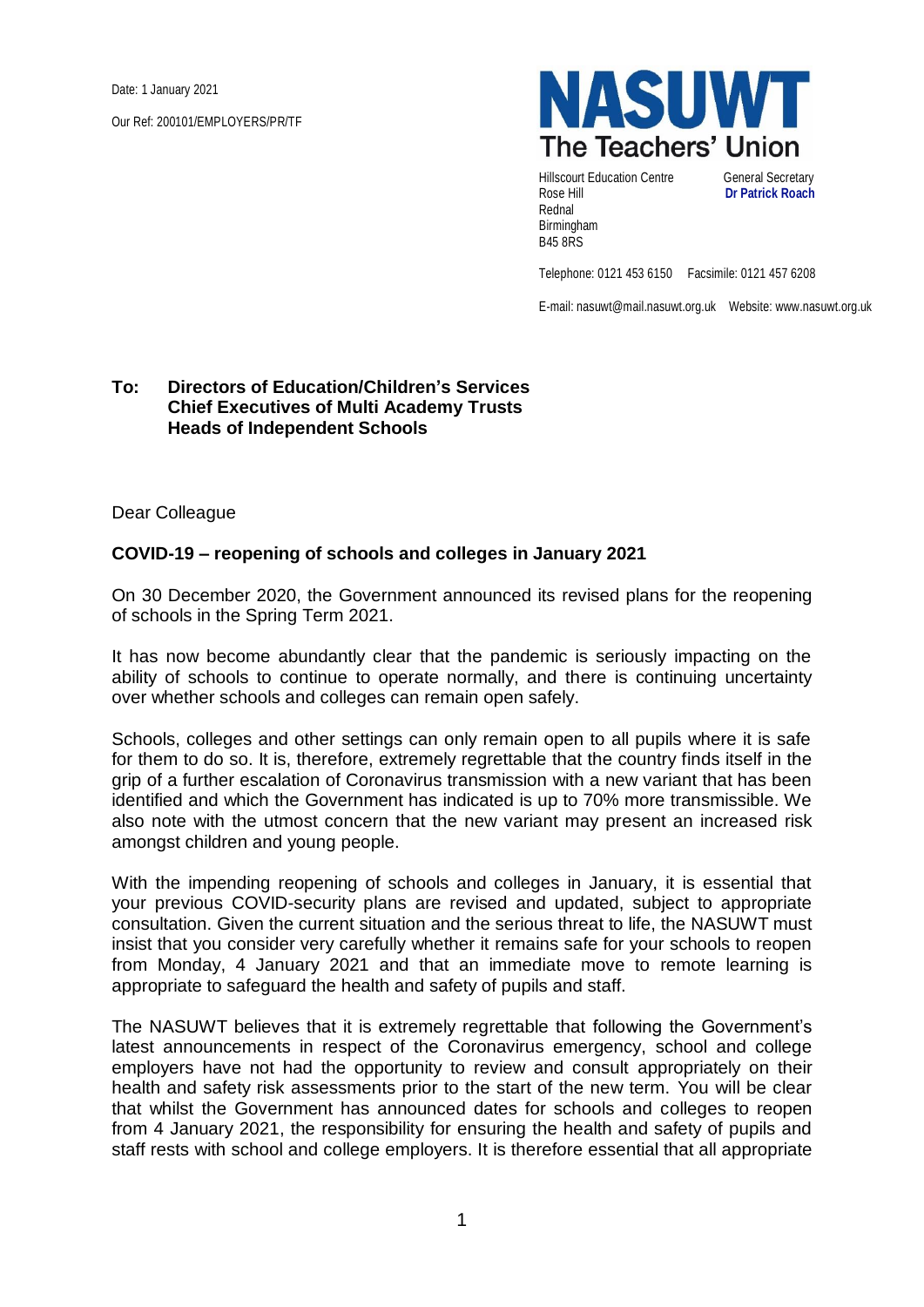Date: 1 January 2021

Our Ref: 200101/EMPLOYERS/PR/TF



Hillscourt Education Centre General Secretary Rose Hill **Dr Patrick Roach** Rednal Birmingham B45 8RS

Telephone: 0121 453 6150 Facsimile: 0121 457 6208

E-mail: nasuwt@mail.nasuwt.org.uk Website: www.nasuwt.org.uk

## **To: Directors of Education/Children's Services Chief Executives of Multi Academy Trusts Heads of Independent Schools**

Dear Colleague

## **COVID-19 – reopening of schools and colleges in January 2021**

On 30 December 2020, the Government announced its revised plans for the reopening of schools in the Spring Term 2021.

It has now become abundantly clear that the pandemic is seriously impacting on the ability of schools to continue to operate normally, and there is continuing uncertainty over whether schools and colleges can remain open safely.

Schools, colleges and other settings can only remain open to all pupils where it is safe for them to do so. It is, therefore, extremely regrettable that the country finds itself in the grip of a further escalation of Coronavirus transmission with a new variant that has been identified and which the Government has indicated is up to 70% more transmissible. We also note with the utmost concern that the new variant may present an increased risk amongst children and young people.

With the impending reopening of schools and colleges in January, it is essential that your previous COVID-security plans are revised and updated, subject to appropriate consultation. Given the current situation and the serious threat to life, the NASUWT must insist that you consider very carefully whether it remains safe for your schools to reopen from Monday, 4 January 2021 and that an immediate move to remote learning is appropriate to safeguard the health and safety of pupils and staff.

The NASUWT believes that it is extremely regrettable that following the Government's latest announcements in respect of the Coronavirus emergency, school and college employers have not had the opportunity to review and consult appropriately on their health and safety risk assessments prior to the start of the new term. You will be clear that whilst the Government has announced dates for schools and colleges to reopen from 4 January 2021, the responsibility for ensuring the health and safety of pupils and staff rests with school and college employers. It is therefore essential that all appropriate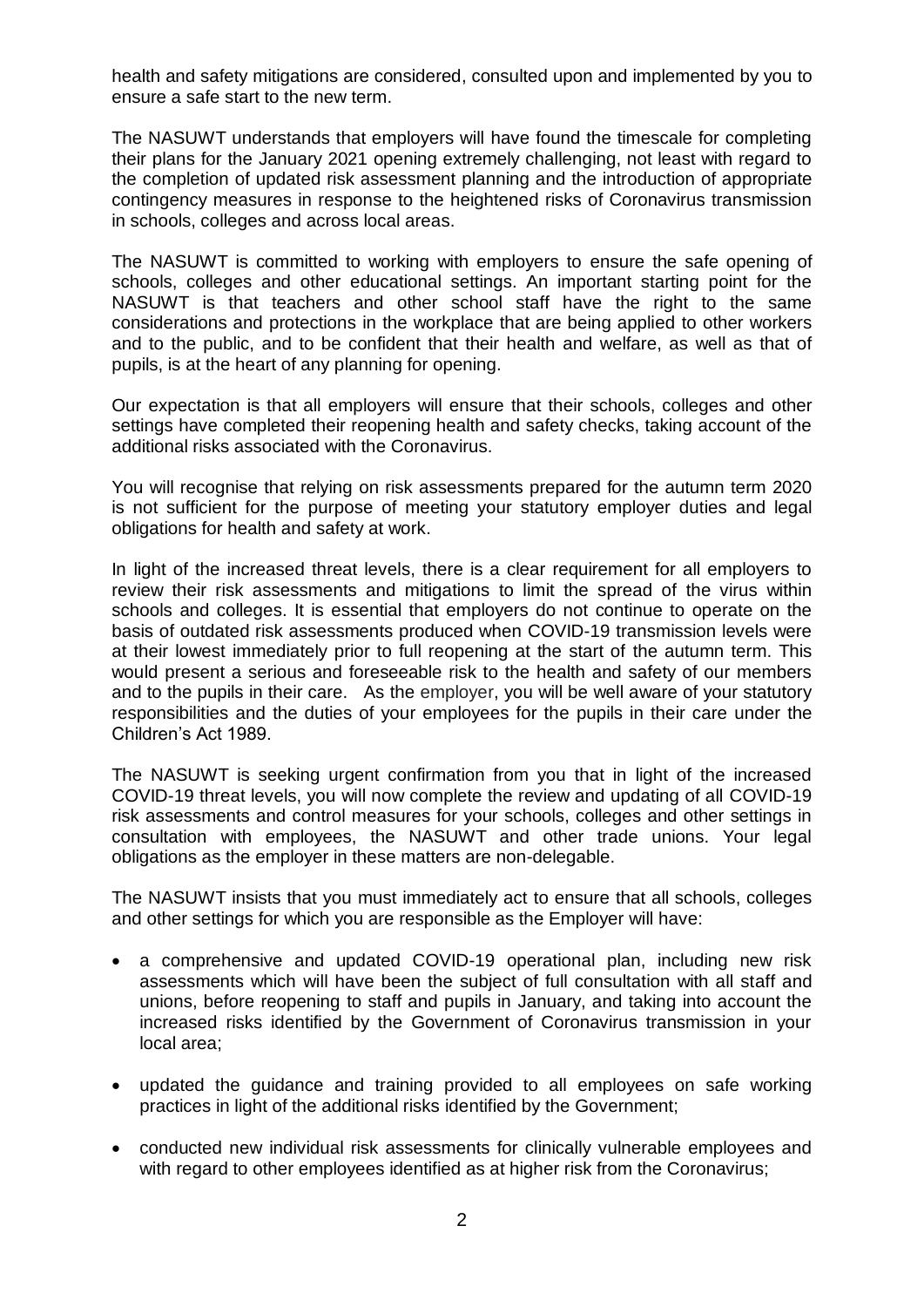health and safety mitigations are considered, consulted upon and implemented by you to ensure a safe start to the new term.

The NASUWT understands that employers will have found the timescale for completing their plans for the January 2021 opening extremely challenging, not least with regard to the completion of updated risk assessment planning and the introduction of appropriate contingency measures in response to the heightened risks of Coronavirus transmission in schools, colleges and across local areas.

The NASUWT is committed to working with employers to ensure the safe opening of schools, colleges and other educational settings. An important starting point for the NASUWT is that teachers and other school staff have the right to the same considerations and protections in the workplace that are being applied to other workers and to the public, and to be confident that their health and welfare, as well as that of pupils, is at the heart of any planning for opening.

Our expectation is that all employers will ensure that their schools, colleges and other settings have completed their reopening health and safety checks, taking account of the additional risks associated with the Coronavirus.

You will recognise that relying on risk assessments prepared for the autumn term 2020 is not sufficient for the purpose of meeting your statutory employer duties and legal obligations for health and safety at work.

In light of the increased threat levels, there is a clear requirement for all employers to review their risk assessments and mitigations to limit the spread of the virus within schools and colleges. It is essential that employers do not continue to operate on the basis of outdated risk assessments produced when COVID-19 transmission levels were at their lowest immediately prior to full reopening at the start of the autumn term. This would present a serious and foreseeable risk to the health and safety of our members and to the pupils in their care. As the employer, you will be well aware of your statutory responsibilities and the duties of your employees for the pupils in their care under the Children's Act 1989.

The NASUWT is seeking urgent confirmation from you that in light of the increased COVID-19 threat levels, you will now complete the review and updating of all COVID-19 risk assessments and control measures for your schools, colleges and other settings in consultation with employees, the NASUWT and other trade unions. Your legal obligations as the employer in these matters are non-delegable.

The NASUWT insists that you must immediately act to ensure that all schools, colleges and other settings for which you are responsible as the Employer will have:

- a comprehensive and updated COVID-19 operational plan, including new risk assessments which will have been the subject of full consultation with all staff and unions, before reopening to staff and pupils in January, and taking into account the increased risks identified by the Government of Coronavirus transmission in your local area;
- updated the guidance and training provided to all employees on safe working practices in light of the additional risks identified by the Government;
- conducted new individual risk assessments for clinically vulnerable employees and with regard to other employees identified as at higher risk from the Coronavirus;